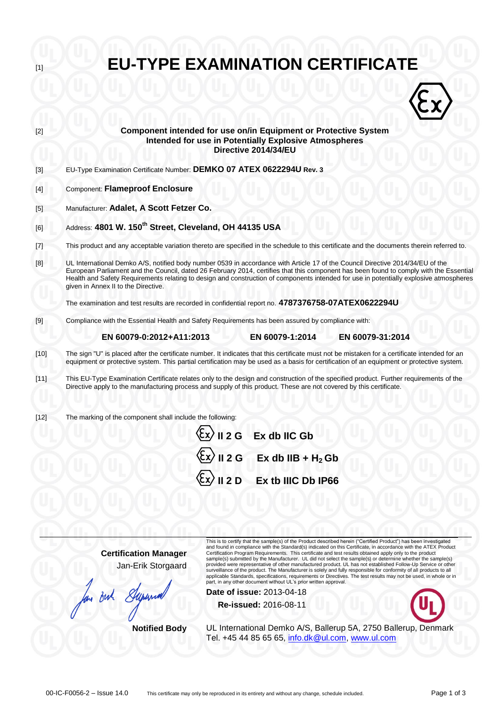| <b>EU-TYPE EXAMINATION CERTIFICATE</b><br>$[1]$ |                                                                                                                                                                                                                                                                                                                                                                                                                                                           |  |  |  |
|-------------------------------------------------|-----------------------------------------------------------------------------------------------------------------------------------------------------------------------------------------------------------------------------------------------------------------------------------------------------------------------------------------------------------------------------------------------------------------------------------------------------------|--|--|--|
|                                                 |                                                                                                                                                                                                                                                                                                                                                                                                                                                           |  |  |  |
| $[2]$                                           | Component intended for use on/in Equipment or Protective System<br><b>Intended for use in Potentially Explosive Atmospheres</b><br>Directive 2014/34/EU                                                                                                                                                                                                                                                                                                   |  |  |  |
| $[3]$                                           | EU-Type Examination Certificate Number: DEMKO 07 ATEX 0622294U Rev. 3                                                                                                                                                                                                                                                                                                                                                                                     |  |  |  |
| $[4]$                                           | <b>Component: Flameproof Enclosure</b>                                                                                                                                                                                                                                                                                                                                                                                                                    |  |  |  |
| [5]                                             | Manufacturer: Adalet, A Scott Fetzer Co.                                                                                                                                                                                                                                                                                                                                                                                                                  |  |  |  |
| [6]                                             | Address: 4801 W. 150 <sup>th</sup> Street, Cleveland, OH 44135 USA                                                                                                                                                                                                                                                                                                                                                                                        |  |  |  |
| $[7]$                                           | This product and any acceptable variation thereto are specified in the schedule to this certificate and the documents therein referred to.                                                                                                                                                                                                                                                                                                                |  |  |  |
| [8]                                             | UL International Demko A/S, notified body number 0539 in accordance with Article 17 of the Council Directive 2014/34/EU of the<br>European Parliament and the Council, dated 26 February 2014, certifies that this component has been found to comply with the Essential<br>Health and Safety Requirements relating to design and construction of components intended for use in potentially explosive atmospheres<br>given in Annex II to the Directive. |  |  |  |
|                                                 | The examination and test results are recorded in confidential report no. 4787376758-07ATEX0622294U                                                                                                                                                                                                                                                                                                                                                        |  |  |  |
| $[9]$                                           | Compliance with the Essential Health and Safety Requirements has been assured by compliance with:                                                                                                                                                                                                                                                                                                                                                         |  |  |  |
|                                                 | EN 60079-0:2012+A11:2013<br>EN 60079-1:2014<br>EN 60079-31:2014                                                                                                                                                                                                                                                                                                                                                                                           |  |  |  |
| $[10]$                                          | The sign "U" is placed after the certificate number. It indicates that this certificate must not be mistaken for a certificate intended for an<br>equipment or protective system. This partial certification may be used as a basis for certification of an equipment or protective system.                                                                                                                                                               |  |  |  |
| $[11]$                                          | This EU-Type Examination Certificate relates only to the design and construction of the specified product. Further requirements of the<br>Directive apply to the manufacturing process and supply of this product. These are not covered by this certificate.                                                                                                                                                                                             |  |  |  |
| $[12]$                                          | The marking of the component shall include the following:<br>$\langle \xi$ x $\rangle$ II 2 G Ex db IIC Gb                                                                                                                                                                                                                                                                                                                                                |  |  |  |
|                                                 | $\langle \overline{\xi_x} \rangle$ II 2 G Ex db IIB + H <sub>2</sub> Gb                                                                                                                                                                                                                                                                                                                                                                                   |  |  |  |

| $\langle \overline{\xi x} \rangle$ II 2 D Ex tb IIIC Db IP66 |
|--------------------------------------------------------------|
|                                                              |

**Certification Manager** Jan-Erik Storgaard

but  $\mathcal{S}$ 

provided were representative of other manufactured product. UL has not established Follow-Up Service or other<br>surveillance of the product. The Manufacturer is solely and fully responsible for conformity of all products to **Date of issue:** 2013-04-18

**Re-issued:** 2016-08-11



**Notified Body** UL International Demko A/S, Ballerup 5A, 2750 Ballerup, Denmark Tel. +45 44 85 65 65, [info.dk@ul.com,](mailto:info.dk@ul.com) [www.ul.com](http://www.ul.com/)

This is to certify that the sample(s) of the Product described herein ("Certified Product") has been investigated<br>and found in compliance with the Standard(s) indicated on this Certificate, in accordance with the ATEX Prod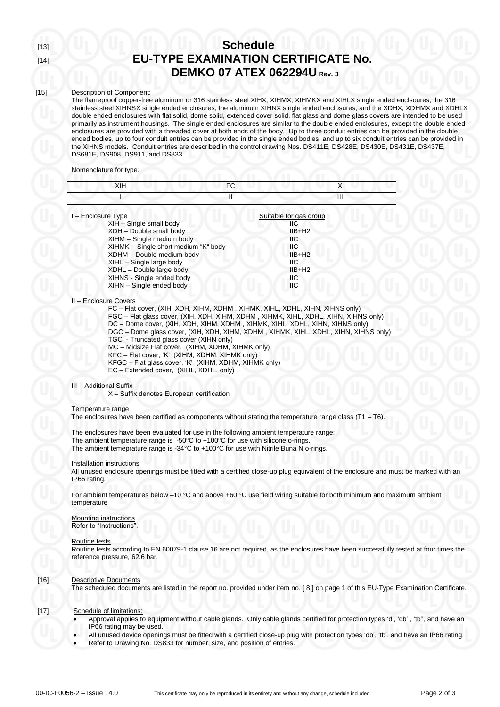# [13] **Schedule** [14] **EU-TYPE EXAMINATION CERTIFICATE No. DEMKO 07 ATEX 062294U Rev. 3**

### [15] Description of Component:

The flameproof copper-free aluminum or 316 stainless steel XIHX, XIHMX, XIHMKX and XIHLX single ended enclsoures, the 316 stainless steel XIHNSX single ended enclosures, the aluminum XIHNX single ended enclosures, and the XDHX, XDHMX and XDHLX double ended enclosures with flat solid, dome solid, extended cover solid, flat glass and dome glass covers are intended to be used primarily as instrument housings. The single ended enclosures are similar to the double ended enclosures, except the double ended enclosures are provided with a threaded cover at both ends of the body. Up to three conduit entries can be provided in the double ended bodies, up to four conduit entries can be provided in the single ended bodies, and up to six conduit entries can be provided in the XIHNS models. Conduit entries are described in the control drawing Nos. DS411E, DS428E, DS430E, DS431E, DS437E, DS681E, DS908, DS911, and DS833.

#### Nomenclature for type*:*

| _ |  |
|---|--|
|   |  |

| I-Enclosure Type                     | Suitable for gas group |
|--------------------------------------|------------------------|
| XIH - Single small body              | ШC                     |
| XDH - Double small body              | $IIB+H2$               |
| XIHM - Single medium body            | ШC                     |
| XIHMK - Single short medium "K" body | ШC                     |
| XDHM - Double medium body            | $IIB+H2$               |
| XIHL - Single large body             | ШC                     |
| XDHL - Double large body             | $IIB+H2$               |
| XIHNS - Single ended body            | ШC                     |
| XIHN - Single ended body             | ШC                     |
|                                      |                        |

#### II – Enclosure Covers

FC – Flat cover, (XIH, XDH, XIHM, XDHM , XIHMK, XIHL, XDHL, XIHN, XIHNS only) FGC – Flat glass cover, (XIH, XDH, XIHM, XDHM , XIHMK, XIHL, XDHL, XIHN, XIHNS only) DC – Dome cover, (XIH, XDH, XIHM, XDHM , XIHMK, XIHL, XDHL, XIHN, XIHNS only) DGC – Dome glass cover, (XIH, XDH, XIHM, XDHM , XIHMK, XIHL, XDHL, XIHN, XIHNS only) TGC - Truncated glass cover (XIHN only) MC – Midsize Flat cover, (XIHM, XDHM, XIHMK only) KFC – Flat cover, 'K' (XIHM, XDHM, XIHMK only) KFGC – Flat glass cover, 'K' (XIHM, XDHM, XIHMK only) EC – Extended cover, (XIHL, XDHL, only)

#### III – Additional Suffix

X – Suffix denotes European certification

#### Temperature range

The enclosures have been certified as components without stating the temperature range class  $(T1 - T6)$ .

The enclosures have been evaluated for use in the following ambient temperature range: The ambient temperature range is  $-50^{\circ}$ C to  $+100^{\circ}$ C for use with silicone o-rings. The ambient temeprature range is -34°C to +100°C for use with Nitrile Buna N o-rings.

#### Installation instructions

All unused enclosure openings must be fitted with a certified close-up plug equivalent of the enclosure and must be marked with an IP66 rating.

For ambient temperatures below  $-10$  °C and above +60 °C use field wiring suitable for both minimum and maximum ambient temperature

Mounting instructions Refer to "Instructions".

#### Routine tests

Routine tests according to EN 60079-1 clause 16 are not required, as the enclosures have been successfully tested at four times the reference pressure, 62.6 bar.

#### [16] Descriptive Documents

The scheduled documents are listed in the report no. provided under item no. [ 8 ] on page 1 of this EU-Type Examination Certificate.

[17] Schedule of limitations:

- Approval applies to equipment without cable glands. Only cable glands certified for protection types 'd', 'db' , 'tb'', and have an IP66 rating may be used.
- All unused device openings must be fitted with a certified close-up plug with protection types 'db', 'tb', and have an IP66 rating.
- Refer to Drawing No. DS833 for number, size, and position of entries.